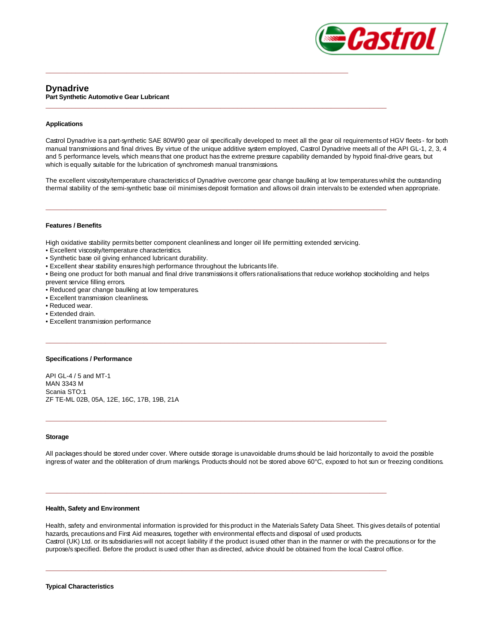

# **Dynadrive Part Synthetic Automotive Gear Lubricant**

## **Applications**

Castrol Dynadrive is a part-synthetic SAE 80W/90 gear oil specifically developed to meet all the gear oil requirements of HGV fleets - for both manual transmissions and final drives. By virtue of the unique additive system employed, Castrol Dynadrive meets all of the API GL-1, 2, 3, 4 and 5 performance levels, which means that one product has the extreme pressure capability demanded by hypoid final-drive gears, but which is equally suitable for the lubrication of synchromesh manual transmissions.

The excellent viscosity/temperature characteristics of Dynadrive overcome gear change baulking at low temperatures whilst the outstanding thermal stability of the semi-synthetic base oil minimises deposit formation and allows oil drain intervals to be extended when appropriate.

## **Features / Benefits**

High oxidative stability permits better component cleanliness and longer oil life permitting extended servicing.

**\_\_\_\_\_\_\_\_\_\_\_\_\_\_\_\_\_\_\_\_\_\_\_\_\_\_\_\_\_\_\_\_\_\_\_\_\_\_\_\_\_\_\_\_\_\_\_\_\_\_\_\_\_\_\_\_\_\_\_\_\_\_\_\_\_\_\_\_\_\_\_\_\_\_\_\_\_\_\_\_**

**\_\_\_\_\_\_\_\_\_\_\_\_\_\_\_\_\_\_\_\_\_\_\_\_\_\_\_\_\_\_\_\_\_\_\_\_\_\_\_\_\_\_\_\_\_\_\_\_\_\_\_\_\_\_\_\_\_\_\_\_\_\_\_\_\_\_\_\_\_\_\_\_\_\_\_\_\_\_\_\_**

**\_\_\_\_\_\_\_\_\_\_\_\_\_\_\_\_\_\_\_\_\_\_\_\_\_\_\_\_\_\_\_\_\_\_\_\_\_\_\_\_\_\_\_\_\_\_\_\_\_\_\_\_\_\_\_\_\_\_\_\_\_\_\_\_\_\_\_\_\_\_\_\_\_\_\_\_\_\_\_\_**

**\_\_\_\_\_\_\_\_\_\_\_\_\_\_\_\_\_\_\_\_\_\_\_\_\_\_\_\_\_\_\_\_\_\_\_\_\_\_\_\_\_\_\_\_\_\_\_\_\_\_\_\_\_\_\_\_\_\_\_\_\_\_\_\_\_\_\_\_\_\_\_\_\_\_\_\_\_\_\_\_**

**\_\_\_\_\_\_\_\_\_\_\_\_\_\_\_\_\_\_\_\_\_\_\_\_\_\_\_\_\_\_\_\_\_\_\_\_\_\_\_\_\_\_\_\_\_\_\_\_\_\_\_\_\_\_\_\_\_\_\_\_\_\_\_\_\_\_\_\_\_\_\_\_\_\_\_\_\_\_\_\_**

**\_\_\_\_\_\_\_\_\_\_\_\_\_\_\_\_\_\_\_\_\_\_\_\_\_\_\_\_\_\_\_\_\_\_\_\_\_\_\_\_\_\_\_\_\_\_\_\_\_\_\_\_\_\_\_\_\_\_\_\_\_\_\_\_\_\_\_\_\_\_\_**

**\_\_\_\_\_\_\_\_\_\_\_\_\_\_\_\_\_\_\_\_\_\_\_\_\_\_\_\_\_\_\_\_\_\_\_\_\_\_\_\_\_\_\_\_\_\_\_\_\_\_\_\_\_\_\_\_\_\_\_\_\_\_\_\_\_\_\_\_\_\_\_\_\_\_\_\_\_\_\_\_**

- Excellent viscosity/temperature characteristics.
- Synthetic base oil giving enhanced lubricant durability.
- Excellent shear stability ensures high performance throughout the lubricants life.
- Being one product for both manual and final drive transmissions it offers rationalisations that reduce workshop stockholding and helps
- prevent service filling errors.
- Reduced gear change baulking at low temperatures.
- Excellent transmission cleanliness.
- Reduced wear.
- Extended drain.
- Excellent transmission performance

#### **Specifications / Performance**

API GL-4 / 5 and MT-1 MAN 3343 M Scania STO:1 ZF TE-ML 02B, 05A, 12E, 16C, 17B, 19B, 21A

## **Storage**

All packages should be stored under cover. Where outside storage is unavoidable drums should be laid horizontally to avoid the possible ingress of water and the obliteration of drum markings. Products should not be stored above 60°C, exposed to hot sun or freezing conditions.

## **Health, Safety and Environment**

Health, safety and environmental information is provided for this product in the Materials Safety Data Sheet. This gives details of potential hazards, precautions and First Aid measures, together with environmental effects and disposal of used products. Castrol (UK) Ltd. or its subsidiaries will not accept liability if the product is used other than in the manner or with the precautions or for the purpose/s specified. Before the product is used other than as directed, advice should be obtained from the local Castrol office.

#### **Typical Characteristics**